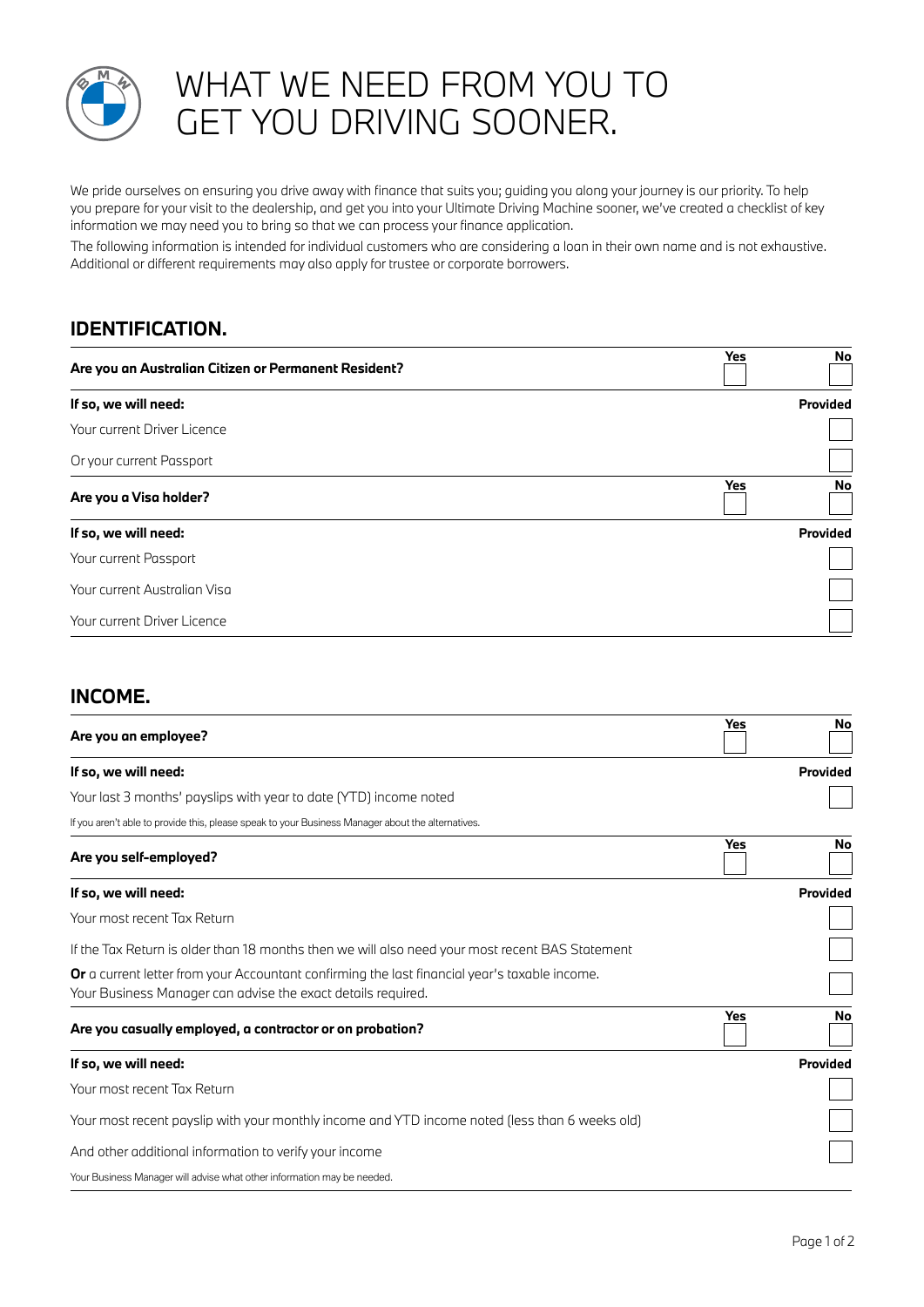

# WHAT WE NEED FROM YOU TO GET YOU DRIVING SOONER.

We pride ourselves on ensuring you drive away with finance that suits you; guiding you along your journey is our priority. To help you prepare for your visit to the dealership, and get you into your Ultimate Driving Machine sooner, we've created a checklist of key information we may need you to bring so that we can process your finance application.

The following information is intended for individual customers who are considering a loan in their own name and is not exhaustive. Additional or different requirements may also apply for trustee or corporate borrowers.

### **IDENTIFICATION.**

| Are you an Australian Citizen or Permanent Resident? | Yes | No       |
|------------------------------------------------------|-----|----------|
| If so, we will need:                                 |     | Provided |
| Your current Driver Licence                          |     |          |
| Or your current Passport                             |     |          |
| Are you a Visa holder?                               | Yes | No       |
| If so, we will need:                                 |     | Provided |
| Your current Passport                                |     |          |
| Your current Australian Visa                         |     |          |
| Your current Driver Licence                          |     |          |

#### **INCOME.**

| Are you an employee?                                                                                                                                          | Yes | No       |
|---------------------------------------------------------------------------------------------------------------------------------------------------------------|-----|----------|
| If so, we will need:                                                                                                                                          |     | Provided |
| Your last 3 months' payslips with year to date (YTD) income noted                                                                                             |     |          |
| If you aren't able to provide this, please speak to your Business Manager about the alternatives.                                                             |     |          |
| Are you self-employed?                                                                                                                                        | Yes | No       |
| If so, we will need:                                                                                                                                          |     | Provided |
| Your most recent Tax Return                                                                                                                                   |     |          |
| If the Tax Return is older than 18 months then we will also need your most recent BAS Statement                                                               |     |          |
| Or a current letter from your Accountant confirming the last financial year's taxable income.<br>Your Business Manager can advise the exact details required. |     |          |
| Are you casually employed, a contractor or on probation?                                                                                                      | Yes | No       |
| If so, we will need:                                                                                                                                          |     | Provided |
| Your most recent Tax Return                                                                                                                                   |     |          |
| Your most recent payslip with your monthly income and YTD income noted (less than 6 weeks old)                                                                |     |          |
| And other additional information to verify your income                                                                                                        |     |          |
| Your Business Manager will advise what other information may be needed.                                                                                       |     |          |